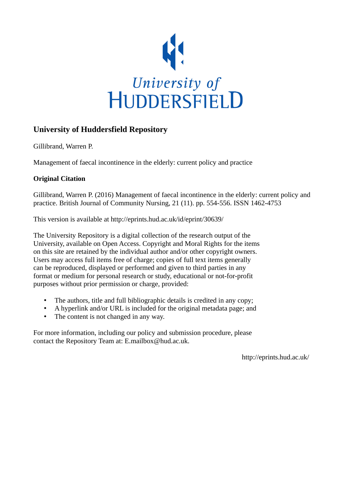

## **University of Huddersfield Repository**

Gillibrand, Warren P.

Management of faecal incontinence in the elderly: current policy and practice

## **Original Citation**

Gillibrand, Warren P. (2016) Management of faecal incontinence in the elderly: current policy and practice. British Journal of Community Nursing, 21 (11). pp. 554-556. ISSN 1462-4753

This version is available at http://eprints.hud.ac.uk/id/eprint/30639/

The University Repository is a digital collection of the research output of the University, available on Open Access. Copyright and Moral Rights for the items on this site are retained by the individual author and/or other copyright owners. Users may access full items free of charge; copies of full text items generally can be reproduced, displayed or performed and given to third parties in any format or medium for personal research or study, educational or not-for-profit purposes without prior permission or charge, provided:

- The authors, title and full bibliographic details is credited in any copy;
- A hyperlink and/or URL is included for the original metadata page; and
- The content is not changed in any way.

For more information, including our policy and submission procedure, please contact the Repository Team at: E.mailbox@hud.ac.uk.

http://eprints.hud.ac.uk/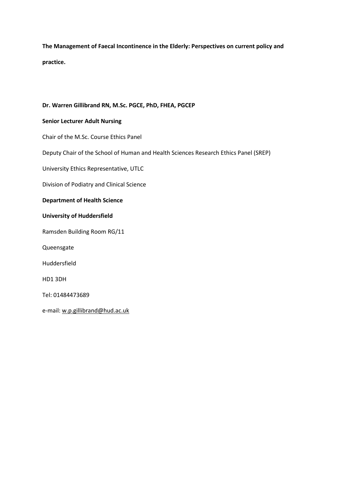**The Management of Faecal Incontinence in the Elderly: Perspectives on current policy and practice.**

## **Dr. Warren Gillibrand RN, M.Sc. PGCE, PhD, FHEA, PGCEP**

## **Senior Lecturer Adult Nursing**

Chair of the M.Sc. Course Ethics Panel

Deputy Chair of the School of Human and Health Sciences Research Ethics Panel (SREP)

University Ethics Representative, UTLC

Division of Podiatry and Clinical Science

### **Department of Health Science**

### **University of Huddersfield**

Ramsden Building Room RG/11

Queensgate

Huddersfield

HD1 3DH

Tel: 01484473689

e-mail: [w.p.gillibrand@hud.ac.uk](https://mail.hud.ac.uk/owa/redir.aspx?REF=jrFcNnWxCzdDYauKlTEJf1uC2UIxqyHXl_L_CXktgzy1K_Y0kfnTCAFodHRwczovL21haWwuaHVkLmFjLnVrL293YS9yZWRpci5hc3B4P1JFRj03ei1pZXlVUFlYQmlUVktQTUJwNVgxWjBueFJ2b2RtQ0dTdzh2VENPMFQyRWJOeU95dmpUQ0FGdFlXbHNkRzg2ZHk1d0xtZHBiR3hwWW5KaGJtUkFhSFZrTG1GakxuVnI.)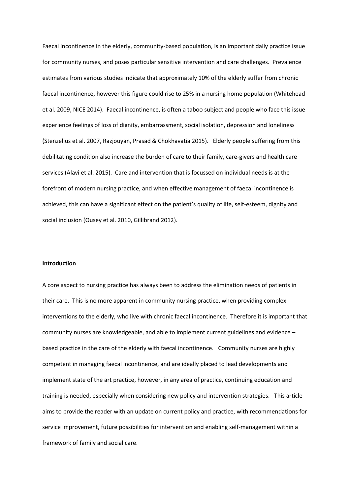Faecal incontinence in the elderly, community-based population, is an important daily practice issue for community nurses, and poses particular sensitive intervention and care challenges. Prevalence estimates from various studies indicate that approximately 10% of the elderly suffer from chronic faecal incontinence, however this figure could rise to 25% in a nursing home population (Whitehead et al. 2009, NICE 2014). Faecal incontinence, is often a taboo subject and people who face this issue experience feelings of loss of dignity, embarrassment, social isolation, depression and loneliness (Stenzelius et al. 2007, Razjouyan, Prasad & Chokhavatia 2015). Elderly people suffering from this debilitating condition also increase the burden of care to their family, care-givers and health care services (Alavi et al. 2015). Care and intervention that is focussed on individual needs is at the forefront of modern nursing practice, and when effective management of faecal incontinence is achieved, this can have a significant effect on the patient's quality of life, self-esteem, dignity and social inclusion (Ousey et al. 2010, Gillibrand 2012).

#### **Introduction**

A core aspect to nursing practice has always been to address the elimination needs of patients in their care. This is no more apparent in community nursing practice, when providing complex interventions to the elderly, who live with chronic faecal incontinence. Therefore it is important that community nurses are knowledgeable, and able to implement current guidelines and evidence – based practice in the care of the elderly with faecal incontinence. Community nurses are highly competent in managing faecal incontinence, and are ideally placed to lead developments and implement state of the art practice, however, in any area of practice, continuing education and training is needed, especially when considering new policy and intervention strategies. This article aims to provide the reader with an update on current policy and practice, with recommendations for service improvement, future possibilities for intervention and enabling self-management within a framework of family and social care.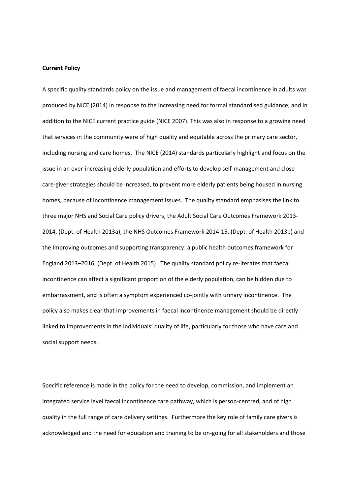#### **Current Policy**

A specific quality standards policy on the issue and management of faecal incontinence in adults was produced by NICE (2014) in response to the increasing need for formal standardised guidance, and in addition to the NICE current practice guide (NICE 2007). This was also in response to a growing need that services in the community were of high quality and equitable across the primary care sector, including nursing and care homes. The NICE (2014) standards particularly highlight and focus on the issue in an ever-increasing elderly population and efforts to develop self-management and close care-giver strategies should be increased, to prevent more elderly patients being housed in nursing homes, because of incontinence management issues. The quality standard emphasises the link to three major NHS and Social Care policy drivers, the Adult Social Care Outcomes Framework 2013- 2014, (Dept. of Health 2013a), the NHS Outcomes Framework 2014-15, (Dept. of Health 2013b) and the Improving outcomes and supporting transparency: a public health outcomes framework for England 2013–2016, (Dept. of Health 2015). The quality standard policy re-iterates that faecal incontinence can affect a significant proportion of the elderly population, can be hidden due to embarrassment, and is often a symptom experienced co-jointly with urinary incontinence. The policy also makes clear that improvements in faecal incontinence management should be directly linked to improvements in the individuals' quality of life, particularly for those who have care and social support needs.

Specific reference is made in the policy for the need to develop, commission, and implement an integrated service level faecal incontinence care pathway, which is person-centred, and of high quality in the full range of care delivery settings. Furthermore the key role of family care givers is acknowledged and the need for education and training to be on-going for all stakeholders and those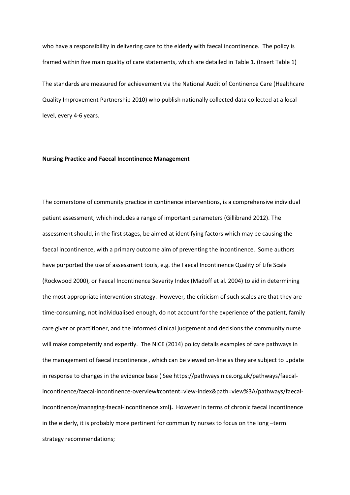who have a responsibility in delivering care to the elderly with faecal incontinence. The policy is framed within five main quality of care statements, which are detailed in Table 1. (Insert Table 1)

The standards are measured for achievement via the National Audit of Continence Care (Healthcare Quality Improvement Partnership 2010) who publish nationally collected data collected at a local level, every 4-6 years.

#### **Nursing Practice and Faecal Incontinence Management**

The cornerstone of community practice in continence interventions, is a comprehensive individual patient assessment, which includes a range of important parameters (Gillibrand 2012). The assessment should, in the first stages, be aimed at identifying factors which may be causing the faecal incontinence, with a primary outcome aim of preventing the incontinence. Some authors have purported the use of assessment tools, e.g. the Faecal Incontinence Quality of Life Scale (Rockwood 2000), or Faecal Incontinence Severity Index (Madoff et al. 2004) to aid in determining the most appropriate intervention strategy. However, the criticism of such scales are that they are time-consuming, not individualised enough, do not account for the experience of the patient, family care giver or practitioner, and the informed clinical judgement and decisions the community nurse will make competently and expertly. The NICE (2014) policy details examples of care pathways in the management of faecal incontinence , which can be viewed on-line as they are subject to update in response to changes in the evidence base ( Se[e https://pathways.nice.org.uk/pathways/faecal](https://pathways.nice.org.uk/pathways/faecal-incontinence/faecal-incontinence-overview#content=view-index&path=view%3A/pathways/faecal-incontinence/managing-faecal-incontinence.xml)[incontinence/faecal-incontinence-overview#content=view-index&path=view%3A/pathways/faecal](https://pathways.nice.org.uk/pathways/faecal-incontinence/faecal-incontinence-overview#content=view-index&path=view%3A/pathways/faecal-incontinence/managing-faecal-incontinence.xml)[incontinence/managing-faecal-incontinence.xml](https://pathways.nice.org.uk/pathways/faecal-incontinence/faecal-incontinence-overview#content=view-index&path=view%3A/pathways/faecal-incontinence/managing-faecal-incontinence.xml)**).** However in terms of chronic faecal incontinence in the elderly, it is probably more pertinent for community nurses to focus on the long –term strategy recommendations;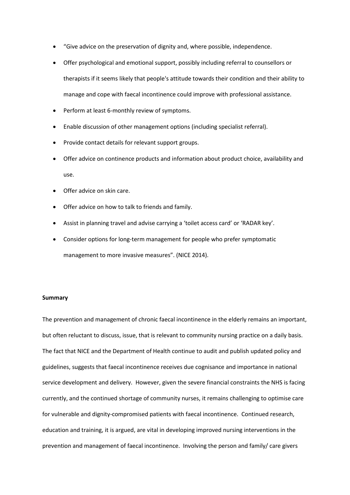- "Give advice on the preservation of dignity and, where possible, independence.
- Offer psychological and emotional support, possibly including referral to counsellors or therapists if it seems likely that people's attitude towards their condition and their ability to manage and cope with faecal incontinence could improve with professional assistance.
- Perform at least 6-monthly review of symptoms.
- Enable discussion of other management options (including specialist referral).
- Provide contact details for relevant support groups.
- Offer advice on continence products and information about product choice, availability and use.
- Offer advice on skin care.
- Offer advice on how to talk to friends and family.
- Assist in planning travel and advise carrying a 'toilet access card' or 'RADAR key'.
- Consider options for long-term management for people who prefer symptomatic management to more invasive measures". (NICE 2014).

#### **Summary**

The prevention and management of chronic faecal incontinence in the elderly remains an important, but often reluctant to discuss, issue, that is relevant to community nursing practice on a daily basis. The fact that NICE and the Department of Health continue to audit and publish updated policy and guidelines, suggests that faecal incontinence receives due cognisance and importance in national service development and delivery. However, given the severe financial constraints the NHS is facing currently, and the continued shortage of community nurses, it remains challenging to optimise care for vulnerable and dignity-compromised patients with faecal incontinence. Continued research, education and training, it is argued, are vital in developing improved nursing interventions in the prevention and management of faecal incontinence. Involving the person and family/ care givers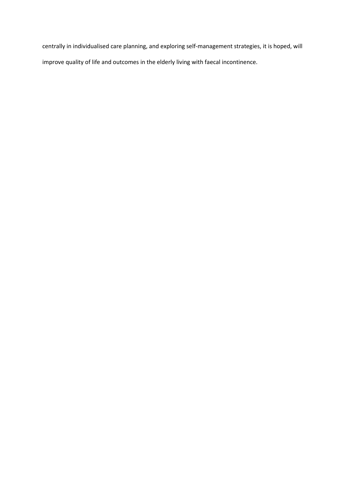centrally in individualised care planning, and exploring self-management strategies, it is hoped, will improve quality of life and outcomes in the elderly living with faecal incontinence.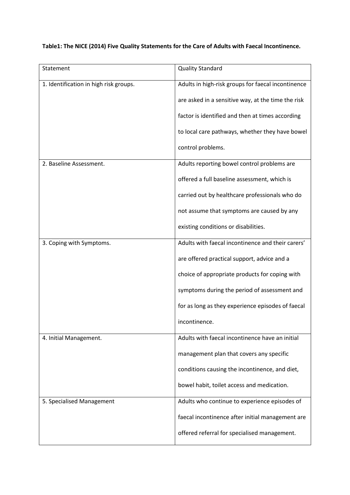# **Table1: The NICE (2014) Five Quality Statements for the Care of Adults with Faecal Incontinence.**

| Statement                              | <b>Quality Standard</b>                            |
|----------------------------------------|----------------------------------------------------|
| 1. Identification in high risk groups. | Adults in high-risk groups for faecal incontinence |
|                                        | are asked in a sensitive way, at the time the risk |
|                                        | factor is identified and then at times according   |
|                                        | to local care pathways, whether they have bowel    |
|                                        | control problems.                                  |
| 2. Baseline Assessment.                | Adults reporting bowel control problems are        |
|                                        | offered a full baseline assessment, which is       |
|                                        | carried out by healthcare professionals who do     |
|                                        | not assume that symptoms are caused by any         |
|                                        | existing conditions or disabilities.               |
| 3. Coping with Symptoms.               | Adults with faecal incontinence and their carers'  |
|                                        | are offered practical support, advice and a        |
|                                        | choice of appropriate products for coping with     |
|                                        | symptoms during the period of assessment and       |
|                                        | for as long as they experience episodes of faecal  |
|                                        | incontinence.                                      |
| 4. Initial Management.                 | Adults with faecal incontinence have an initial    |
|                                        | management plan that covers any specific           |
|                                        | conditions causing the incontinence, and diet,     |
|                                        | bowel habit, toilet access and medication.         |
| 5. Specialised Management              | Adults who continue to experience episodes of      |
|                                        | faecal incontinence after initial management are   |
|                                        | offered referral for specialised management.       |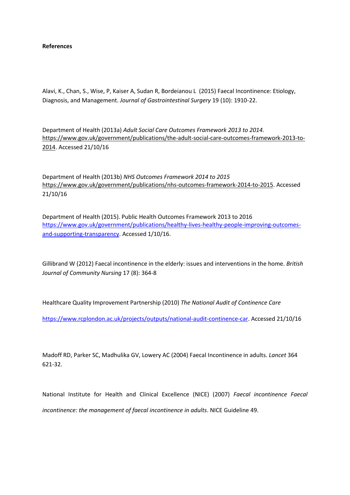#### **References**

Alavi, K., Chan, S., Wise, P, Kaiser A, Sudan R, Bordeianou L (2015) Faecal Incontinence: Etiology, Diagnosis, and Management. *Journal of Gastrointestinal Surgery* 19 (10): 1910-22.

Department of Health (2013a) *Adult Social Care Outcomes Framework 2013 to 2014.* [https://www.gov.uk/government/publications/the-adult-social-care-outcomes-framework-2013-to-](https://www.gov.uk/government/publications/the-adult-social-care-outcomes-framework-2013-to-2014)[2014.](https://www.gov.uk/government/publications/the-adult-social-care-outcomes-framework-2013-to-2014) Accessed 21/10/16

Department of Health (2013b) *NHS Outcomes Framework 2014 to 2015* [https://www.gov.uk/government/publications/nhs-outcomes-framework-2014-to-2015.](https://www.gov.uk/government/publications/nhs-outcomes-framework-2014-to-2015) Accessed 21/10/16

Department of Health (2015). Public Health Outcomes Framework 2013 to 2016 [https://www.gov.uk/government/publications/healthy-lives-healthy-people-improving-outcomes](https://www.gov.uk/government/publications/healthy-lives-healthy-people-improving-outcomes-and-supporting-transparency)[and-supporting-transparency.](https://www.gov.uk/government/publications/healthy-lives-healthy-people-improving-outcomes-and-supporting-transparency) Accessed 1/10/16.

Gillibrand W (2012) Faecal incontinence in the elderly: issues and interventions in the home. *British Journal of Community Nursing* 17 (8): 364-8

Healthcare Quality Improvement Partnership (2010) *The National Audit of Continence Care*

[https://www.rcplondon.ac.uk/projects/outputs/national-audit-continence-car.](https://www.rcplondon.ac.uk/projects/outputs/national-audit-continence-car) Accessed 21/10/16

Madoff RD, Parker SC, Madhulika GV, Lowery AC (2004) Faecal Incontinence in adults. *Lancet* 364 621-32.

National Institute for Health and Clinical Excellence (NICE) (2007) *Faecal incontinence Faecal incontinence: the management of faecal incontinence in adults*. NICE Guideline 49.